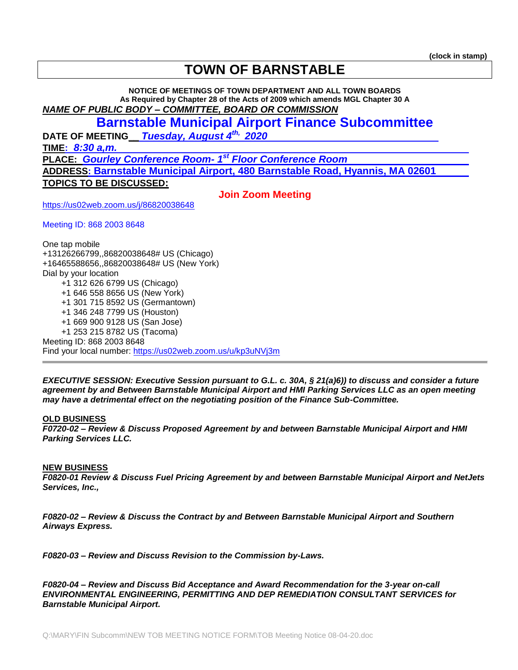# **TOWN OF BARNSTABLE**

**NOTICE OF MEETINGS OF TOWN DEPARTMENT AND ALL TOWN BOARDS As Required by Chapter 28 of the Acts of 2009 which amends MGL Chapter 30 A** *NAME OF PUBLIC BODY – COMMITTEE, BOARD OR COMMISSION* 

## **Barnstable Municipal Airport Finance Subcommittee**

**DATE OF MEETING\_\_** *Tuesday, August 4th, 2020* 

**TIME:** *8:30 a,m.*

**PLACE:** *Gourley Conference Room- 1 st Floor Conference Room*

**ADDRESS: Barnstable Municipal Airport, 480 Barnstable Road, Hyannis, MA 02601**

**TOPICS TO BE DISCUSSED:**

**Join Zoom Meeting**

<https://us02web.zoom.us/j/86820038648>

Meeting ID: 868 2003 8648

One tap mobile +13126266799,,86820038648# US (Chicago) +16465588656,,86820038648# US (New York) Dial by your location +1 312 626 6799 US (Chicago) +1 646 558 8656 US (New York) +1 301 715 8592 US (Germantown) +1 346 248 7799 US (Houston) +1 669 900 9128 US (San Jose) +1 253 215 8782 US (Tacoma) Meeting ID: 868 2003 8648 Find your local number:<https://us02web.zoom.us/u/kp3uNVj3m>

*EXECUTIVE SESSION: Executive Session pursuant to G.L. c. 30A, § 21(a)6)) to discuss and consider a future agreement by and Between Barnstable Municipal Airport and HMI Parking Services LLC as an open meeting may have a detrimental effect on the negotiating position of the Finance Sub-Committee.*

#### **OLD BUSINESS**

*F0720-02 – Review & Discuss Proposed Agreement by and between Barnstable Municipal Airport and HMI Parking Services LLC.* 

#### **NEW BUSINESS**

*F0820-01 Review & Discuss Fuel Pricing Agreement by and between Barnstable Municipal Airport and NetJets Services, Inc.,* 

*F0820-02 – Review & Discuss the Contract by and Between Barnstable Municipal Airport and Southern Airways Express.*

*F0820-03 – Review and Discuss Revision to the Commission by-Laws.*

*F0820-04 – Review and Discuss Bid Acceptance and Award Recommendation for the 3-year on-call ENVIRONMENTAL ENGINEERING, PERMITTING AND DEP REMEDIATION CONSULTANT SERVICES for Barnstable Municipal Airport.*